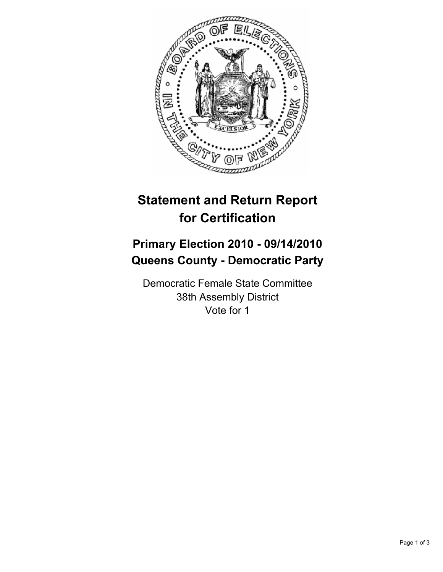

# **Statement and Return Report for Certification**

## **Primary Election 2010 - 09/14/2010 Queens County - Democratic Party**

Democratic Female State Committee 38th Assembly District Vote for 1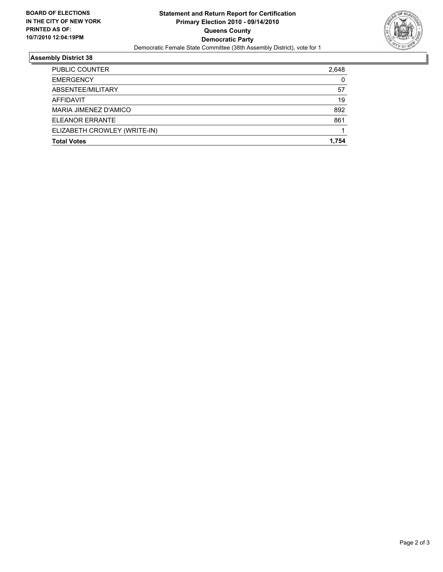

### **Assembly District 38**

| <b>Total Votes</b>           | 1.754 |
|------------------------------|-------|
| ELIZABETH CROWLEY (WRITE-IN) |       |
| ELEANOR ERRANTE              | 861   |
| MARIA JIMENEZ D'AMICO        | 892   |
| AFFIDAVIT                    | 19    |
| ABSENTEE/MILITARY            | 57    |
| <b>EMERGENCY</b>             | 0     |
| <b>PUBLIC COUNTER</b>        | 2,648 |